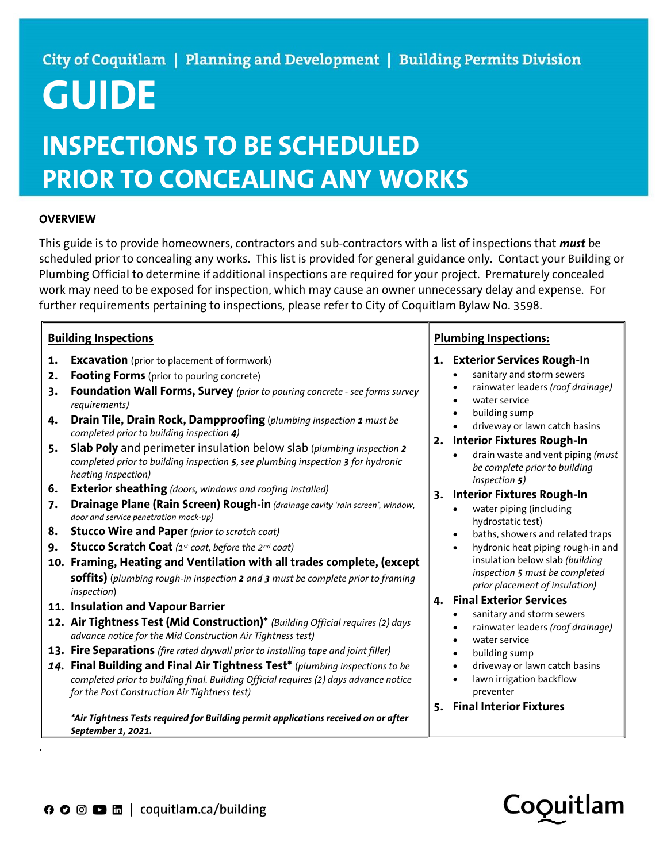### City of Coquitlam | Planning and Development | Building Permits Division

# GUIDE

## INSPECTIONS TO BE SCHEDULED PRIOR TO CONCEALING ANY WORKS

#### **OVERVIEW**

This guide is to provide homeowners, contractors and sub-contractors with a list of inspections that *must* be scheduled prior to concealing any works. This list is provided for general guidance only. Contact your Building or Plumbing Official to determine if additional inspections are required for your project. Prematurely concealed work may need to be exposed for inspection, which may cause an owner unnecessary delay and expense. For further requirements pertaining to inspections, please refer to City of Coquitlam Bylaw No. 3598.

#### Building Inspections

- **1. Excavation** (prior to placement of formwork)
- 2. Footing Forms (prior to pouring concrete)
- 3. Foundation Wall Forms, Survey (prior to pouring concrete see forms survey requirements)
- 4. Drain Tile, Drain Rock, Dampproofing (plumbing inspection 1 must be completed prior to building inspection 4)
- 5. Slab Poly and perimeter insulation below slab (plumbing inspection 2 completed prior to building inspection 5, see plumbing inspection 3 for hydronic heating inspection)
- **6.** Exterior sheathing (doors, windows and roofing installed)
- 7. Drainage Plane (Rain Screen) Rough-in (drainage cavity 'rain screen', window, door and service penetration mock-up)
- 8. Stucco Wire and Paper (prior to scratch coat)
- **9.** Stucco Scratch Coat  $(1^{st} \text{ coat}, \text{before the } 2^{nd} \text{ coat})$
- 10. Framing, Heating and Ventilation with all trades complete, (except **soffits)** (plumbing rough-in inspection 2 and 3 must be complete prior to framing inspection)
- 11. Insulation and Vapour Barrier

.

- 12. Air Tightness Test (Mid Construction)\* (Building Official requires (2) days advance notice for the Mid Construction Air Tightness test)
- 13. Fire Separations (fire rated drywall prior to installing tape and joint filler)
- 14. Final Building and Final Air Tightness Test\* (plumbing inspections to be completed prior to building final. Building Official requires (2) days advance notice for the Post Construction Air Tightness test)

\*Air Tightness Tests required for Building permit applications received on or after September 1, 2021.

#### Plumbing Inspections:

- 1. Exterior Services Rough-In
	- sanitary and storm sewers
	- rainwater leaders (roof drainage)
	- water service
	- building sump
	- driveway or lawn catch basins
- 2. Interior Fixtures Rough-In
	- drain waste and vent piping (must be complete prior to building inspection 5)
- 3. Interior Fixtures Rough-In
	- water piping (including hydrostatic test)
	- baths, showers and related traps
	- hydronic heat piping rough-in and insulation below slab (building inspection 5 must be completed prior placement of insulation)

#### 4. Final Exterior Services

- sanitary and storm sewers
- rainwater leaders (roof drainage)
- water service
- building sump
- driveway or lawn catch basins
- lawn irrigation backflow preventer
- 5. Final Interior Fixtures